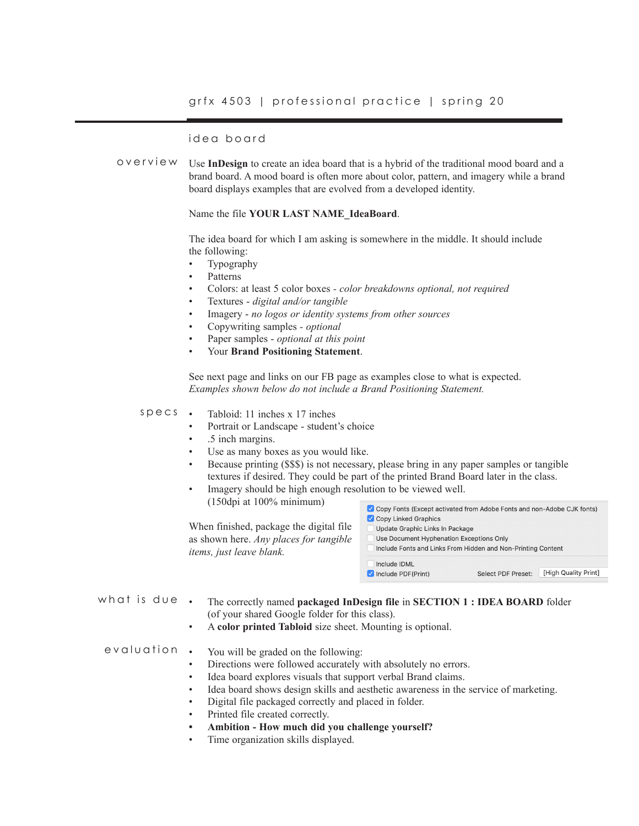# idea board

Use **InDesign** to create an idea board that is a hybrid of the traditional mood board and a brand board. A mood board is often more about color, pattern, and imagery while a brand board displays examples that are evolved from a developed identity. overview

### Name the file **YOUR LAST NAME\_IdeaBoard**.

The idea board for which I am asking is somewhere in the middle. It should include the following:

- Typography
- Patterns<sup>1</sup>
- Colors: at least 5 color boxes  *color breakdowns optional, not required*
- Textures *digital and/or tangible*
- Imagery *no logos or identity systems from other sources*
- Copywriting samples *optional*
- Paper samples *optional at this point*
- Your **Brand Positioning Statement**.

See next page and links on our FB page as examples close to what is expected. *Examples shown below do not include a Brand Positioning Statement.*

#### • Tabloid: 11 inches x 17 inches specs

- Portrait or Landscape student's choice
- .5 inch margins.
- Use as many boxes as you would like.
- Because printing (\$\$\$) is not necessary, please bring in any paper samples or tangible textures if desired. They could be part of the printed Brand Board later in the class.
- Imagery should be high enough resolution to be viewed well.

(150dpi at 100% minimum)

When finished, package the digital file as shown here. *Any places for tangible items, just leave blank.* 

| ✔ Copy Fonts (Except activated from Adobe Fonts and non-Adobe CJK fonts)<br>Copy Linked Graphics<br>Update Graphic Links In Package |                           |                      |
|-------------------------------------------------------------------------------------------------------------------------------------|---------------------------|----------------------|
| Use Document Hyphenation Exceptions Only<br>Include Fonts and Links From Hidden and Non-Printing Content                            |                           |                      |
| Include IDML<br>Include PDF(Print)                                                                                                  | <b>Select PDF Preset:</b> | [High Quality Print] |

what is due.

• The correctly named **packaged InDesign file** in **SECTION 1 : IDEA BOARD** folder (of your shared Google folder for this class).

• A **color printed Tabloid** size sheet. Mounting is optional.

### • You will be graded on the following: evaluation

- Directions were followed accurately with absolutely no errors.
- Idea board explores visuals that support verbal Brand claims.
- Idea board shows design skills and aesthetic awareness in the service of marketing.
- Digital file packaged correctly and placed in folder.
- Printed file created correctly.
- **• Ambition How much did you challenge yourself?**
- Time organization skills displayed.